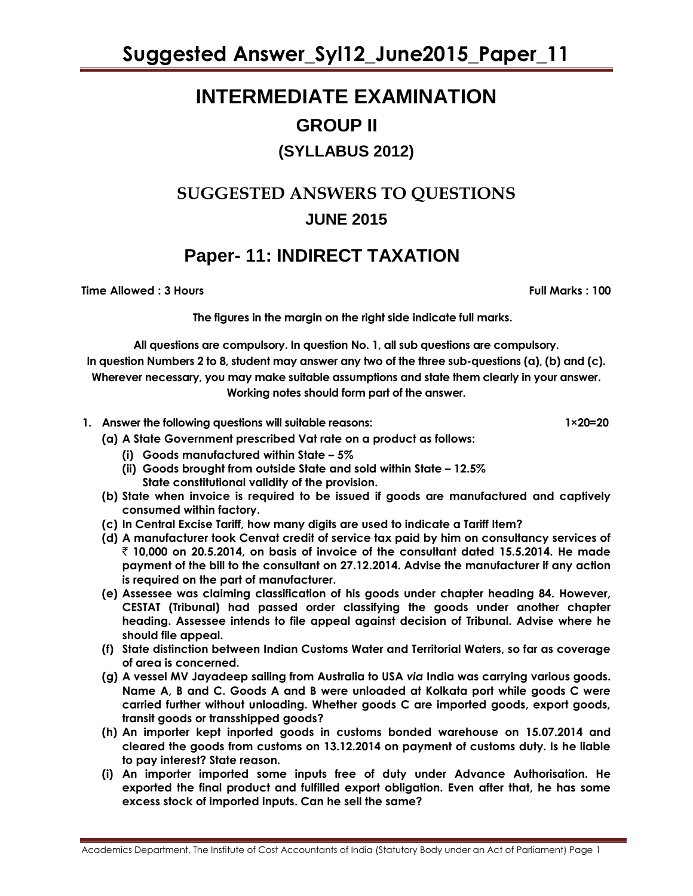# **INTERMEDIATE EXAMINATION GROUP II (SYLLABUS 2012)**

## **SUGGESTED ANSWERS TO QUESTIONS JUNE 2015**

## **Paper- 11: INDIRECT TAXATION**

**Time Allowed : 3 Hours Full Marks : 100**

**The figures in the margin on the right side indicate full marks.**

**All questions are compulsory. In question No. 1, all sub questions are compulsory. In question Numbers 2 to 8, student may answer any two of the three sub-questions (a), (b) and (c). Wherever necessary, you may make suitable assumptions and state them clearly in your answer. Working notes should form part of the answer.**

- 1. Answer the following questions will suitable reasons: 1×20=20
	- **(a) A State Government prescribed Vat rate on a product as follows:**
		- **(i) Goods manufactured within State – 5%**
		- **(ii) Goods brought from outside State and sold within State – 12.5% State constitutional validity of the provision.**
	- **(b) State when invoice is required to be issued if goods are manufactured and captively consumed within factory.**
	- **(c) In Central Excise Tariff, how many digits are used to indicate a Tariff Item?**
	- **(d) A manufacturer took Cenvat credit of service tax paid by him on consultancy services of**  ` **10,000 on 20.5.2014, on basis of invoice of the consultant dated 15.5.2014. He made payment of the bill to the consultant on 27.12.2014. Advise the manufacturer if any action is required on the part of manufacturer.**
	- **(e) Assessee was claiming classification of his goods under chapter heading 84. However, CESTAT (Tribunal) had passed order classifying the goods under another chapter heading. Assessee intends to file appeal against decision of Tribunal. Advise where he should file appeal.**
	- **(f) State distinction between Indian Customs Water and Territorial Waters, so far as coverage of area is concerned.**
	- **(g) A vessel MV Jayadeep sailing from Australia to USA** *via* **India was carrying various goods. Name A, B and C. Goods A and B were unloaded at Kolkata port while goods C were carried further without unloading. Whether goods C are imported goods, export goods, transit goods or transshipped goods?**
	- **(h) An importer kept inported goods in customs bonded warehouse on 15.07.2014 and cleared the goods from customs on 13.12.2014 on payment of customs duty. Is he liable to pay interest? State reason.**
	- **(i) An importer imported some inputs free of duty under Advance Authorisation. He exported the final product and fulfilled export obligation. Even after that, he has some excess stock of imported inputs. Can he sell the same?**

Academics Department, The Institute of Cost Accountants of India (Statutory Body under an Act of Parliament) Page 1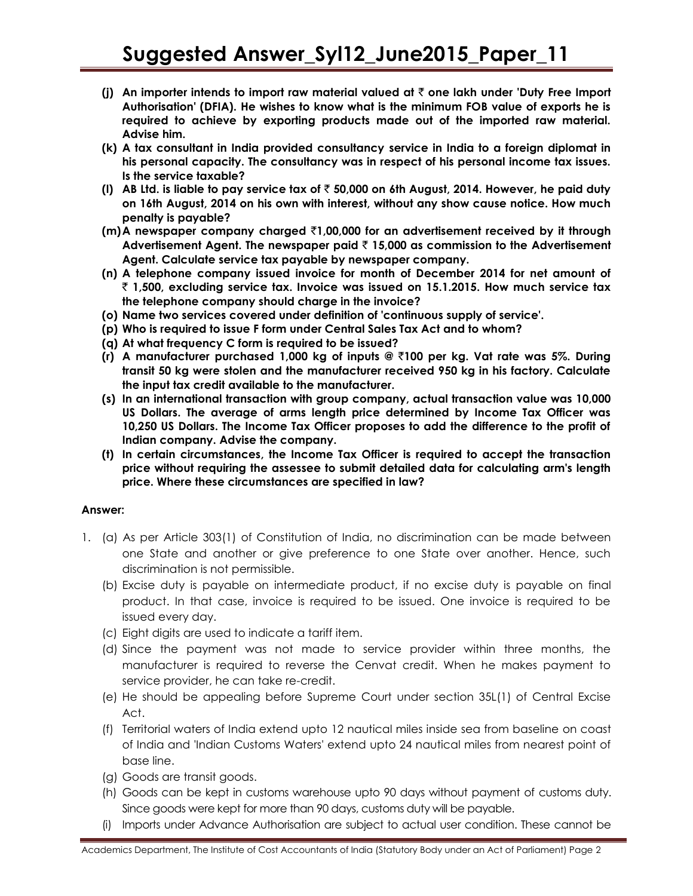- **(j) An importer intends to import raw material valued at** ` **one lakh under 'Duty Free Import Authorisation' (DFIA). He wishes to know what is the minimum FOB value of exports he is required to achieve by exporting products made out of the imported raw material. Advise him.**
- **(k) A tax consultant in India provided consultancy service in India to a foreign diplomat in his personal capacity. The consultancy was in respect of his personal income tax issues. Is the service taxable?**
- **(l) AB Ltd. is liable to pay service tax of** ` **50,000 on 6th August, 2014. However, he paid duty on 16th August, 2014 on his own with interest, without any show cause notice. How much penalty is payable?**
- **(m)A newspaper company charged** `**1,00,000 for an advertisement received by it through Advertisement Agent. The newspaper paid** ` **15,000 as commission to the Advertisement Agent. Calculate service tax payable by newspaper company.**
- **(n) A telephone company issued invoice for month of December 2014 for net amount of**  ` **1,500, excluding service tax. Invoice was issued on 15.1.2015. How much service tax the telephone company should charge in the invoice?**
- **(o) Name two services covered under definition of 'continuous supply of service'.**
- **(p) Who is required to issue F form under Central Sales Tax Act and to whom?**
- **(q) At what frequency C form is required to be issued?**
- **(r) A manufacturer purchased 1,000 kg of inputs @** `**100 per kg. Vat rate was 5%. During transit 50 kg were stolen and the manufacturer received 950 kg in his factory. Calculate the input tax credit available to the manufacturer.**
- **(s) In an international transaction with group company, actual transaction value was 10,000 US Dollars. The average of arms length price determined by Income Tax Officer was 10,250 US Dollars. The Income Tax Officer proposes to add the difference to the profit of Indian company. Advise the company.**
- **(t) In certain circumstances, the Income Tax Officer is required to accept the transaction price without requiring the assessee to submit detailed data for calculating arm's length price. Where these circumstances are specified in law?**

## **Answer:**

- 1. (a) As per Article 303(1) of Constitution of India, no discrimination can be made between one State and another or give preference to one State over another. Hence, such discrimination is not permissible.
	- (b) Excise duty is payable on intermediate product, if no excise duty is payable on final product. In that case, invoice is required to be issued. One invoice is required to be issued every day.
	- (c) Eight digits are used to indicate a tariff item.
	- (d) Since the payment was not made to service provider within three months, the manufacturer is required to reverse the Cenvat credit. When he makes payment to service provider, he can take re-credit.
	- (e) He should be appealing before Supreme Court under section 35L(1) of Central Excise Act.
	- (f) Territorial waters of India extend upto 12 nautical miles inside sea from baseline on coast of India and 'Indian Customs Waters' extend upto 24 nautical miles from nearest point of base line.
	- (g) Goods are transit goods.
	- (h) Goods can be kept in customs warehouse upto 90 days without payment of customs duty. Since goods were kept for more than 90 days, customs duty will be payable.
	- (i) Imports under Advance Authorisation are subject to actual user condition. These cannot be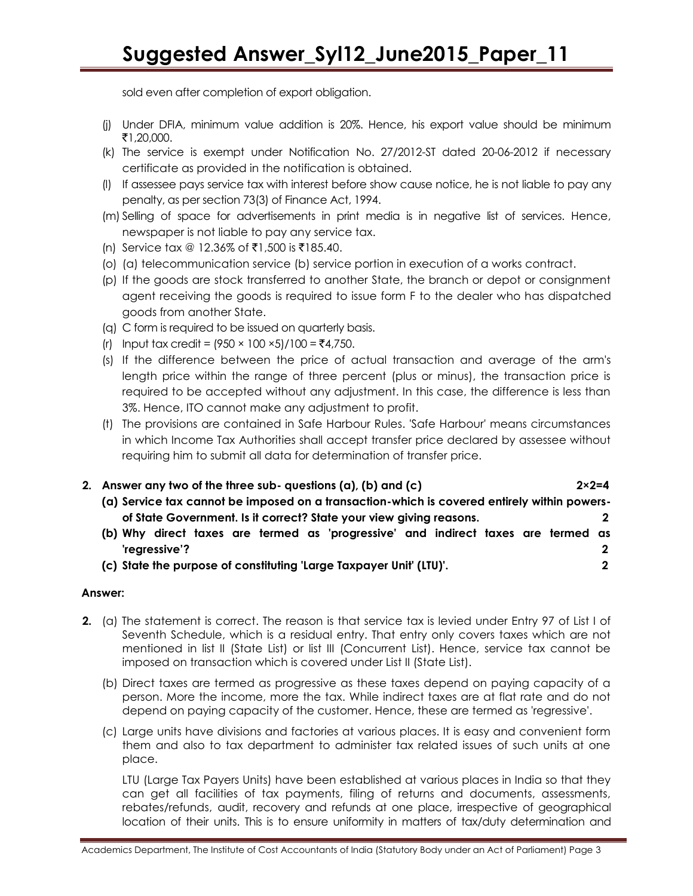sold even after completion of export obligation.

- (j) Under DFIA, minimum value addition is 20%. Hence, his export value should be minimum  $\bar{5}1,20,000$ .
- (k) The service is exempt under Notification No. 27/2012-ST dated 20-06-2012 if necessary certificate as provided in the notification is obtained.
- (l) If assessee pays service tax with interest before show cause notice, he is not liable to pay any penalty, as per section 73(3) of Finance Act, 1994.
- (m) Selling of space for advertisements in print media is in negative list of services. Hence, newspaper is not liable to pay any service tax.
- (n) Service tax @ 12.36% of ₹1,500 is ₹185.40.
- (o) (a) telecommunication service (b) service portion in execution of a works contract.
- (p) If the goods are stock transferred to another State, the branch or depot or consignment agent receiving the goods is required to issue form F to the dealer who has dispatched goods from another State.
- (q) C form is required to be issued on quarterly basis.
- (r) Input tax credit =  $(950 \times 100 \times 5)/100 = ₹4,750$ .
- (s) If the difference between the price of actual transaction and average of the arm's length price within the range of three percent (plus or minus), the transaction price is required to be accepted without any adjustment. In this case, the difference is less than 3%. Hence, ITO cannot make any adjustment to profit.
- (t) The provisions are contained in Safe Harbour Rules. 'Safe Harbour' means circumstances in which Income Tax Authorities shall accept transfer price declared by assessee without requiring him to submit all data for determination of transfer price.

|  | 2. Answer any two of the three sub- questions (a), (b) and (c)                              | $2 \times 2 = 4$ |  |  |  |
|--|---------------------------------------------------------------------------------------------|------------------|--|--|--|
|  | (a) Service tax cannot be imposed on a transaction-which is covered entirely within powers- |                  |  |  |  |
|  | of State Government. Is it correct? State your view giving reasons.                         |                  |  |  |  |
|  | (b) Why direct taxes are termed as 'progressive' and indirect taxes are termed as           |                  |  |  |  |
|  | 'regressive'?                                                                               |                  |  |  |  |
|  | (c) State the purpose of constituting 'Large Taxpayer Unit' (LTU)'.                         |                  |  |  |  |

## **Answer:**

- **2.** (a) The statement is correct. The reason is that service tax is levied under Entry 97 of List I of Seventh Schedule, which is a residual entry. That entry only covers taxes which are not mentioned in list II (State List) or list III (Concurrent List). Hence, service tax cannot be imposed on transaction which is covered under List II (State List).
	- (b) Direct taxes are termed as progressive as these taxes depend on paying capacity of a person. More the income, more the tax. While indirect taxes are at flat rate and do not depend on paying capacity of the customer. Hence, these are termed as 'regressive'.
	- (c) Large units have divisions and factories at various places. It is easy and convenient form them and also to tax department to administer tax related issues of such units at one place.

LTU (Large Tax Payers Units) have been established at various places in India so that they can get all facilities of tax payments, filing of returns and documents, assessments, rebates/refunds, audit, recovery and refunds at one place, irrespective of geographical location of their units. This is to ensure uniformity in matters of tax/duty determination and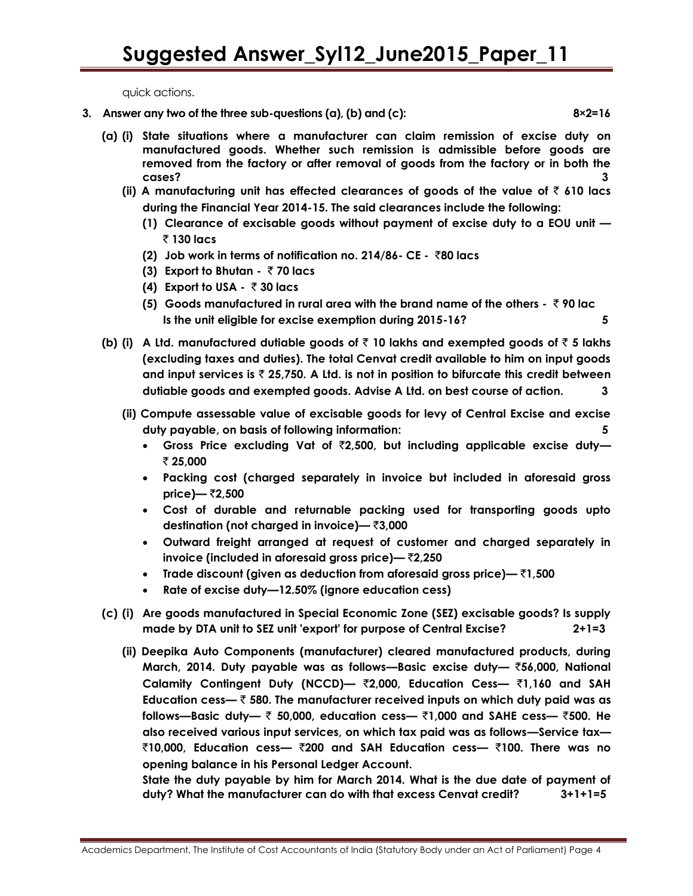quick actions.

- **3. Answer any two of the three sub-questions (a), (b) and (c): 8×2=16**
	- **(a) (i) State situations where a manufacturer can claim remission of excise duty on manufactured goods. Whether such remission is admissible before goods are removed from the factory or after removal of goods from the factory or in both the cases? 3**
		- **(ii) A manufacturing unit has effected clearances of goods of the value of** ` **610 lacs during the Financial Year 2014-15. The said clearances include the following:**
			- **(1) Clearance of excisable goods without payment of excise duty to a EOU unit —**  ` **130 lacs**
			- **(2) Job work in terms of notification no. 214/86- CE** `**80 lacs**
			- **(3) Export to Bhutan** ` **70 lacs**
			- **(4) Export to USA** ` **30 lacs**
			- **(5) Goods manufactured in rural area with the brand name of the others** ` **90 lac Is the unit eligible for excise exemption during 2015-16? 5**
	- **(b) (i) A Ltd. manufactured dutiable goods of** ` **10 lakhs and exempted goods of** ` **5 lakhs (excluding taxes and duties). The total Cenvat credit available to him on input goods and input services is** ` **25,750. A Ltd. is not in position to bifurcate this credit between dutiable goods and exempted goods. Advise A Ltd. on best course of action. 3**
		- **(ii) Compute assessable value of excisable goods for levy of Central Excise and excise duty payable, on basis of following information: 5**
			- **Gross Price excluding Vat of** `**2,500, but including applicable excise duty—**  ` **25,000**
			- **Packing cost (charged separately in invoice but included in aforesaid gross price)—** `**2,500**
			- **Cost of durable and returnable packing used for transporting goods upto destination (not charged in invoice)—** `**3,000**
			- **Outward freight arranged at request of customer and charged separately in invoice (included in aforesaid gross price)—** `**2,250**
			- **Trade discount (given as deduction from aforesaid gross price)—** `**1,500**
			- **Rate of excise duty—12.50% (ignore education cess)**
	- **(c) (i) Are goods manufactured in Special Economic Zone (SEZ) excisable goods? Is supply made by DTA unit to SEZ unit 'export' for purpose of Central Excise? 2+1=3**
		- **(ii) Deepika Auto Components (manufacturer) cleared manufactured products, during March, 2014. Duty payable was as follows—Basic excise duty—** `**56,000, National Calamity Contingent Duty (NCCD)—** `**2,000, Education Cess—** `**1,160 and SAH Education cess—** ` **580. The manufacturer received inputs on which duty paid was as follows—Basic duty—** ` **50,000, education cess—** `**1,000 and SAHE cess—** `**500. He also received various input services, on which tax paid was as follows—Service tax—** `**10,000, Education cess—** `**200 and SAH Education cess—** `**100. There was no opening balance in his Personal Ledger Account.**

**State the duty payable by him for March 2014. What is the due date of payment of duty? What the manufacturer can do with that excess Cenvat credit? 3+1+1=5**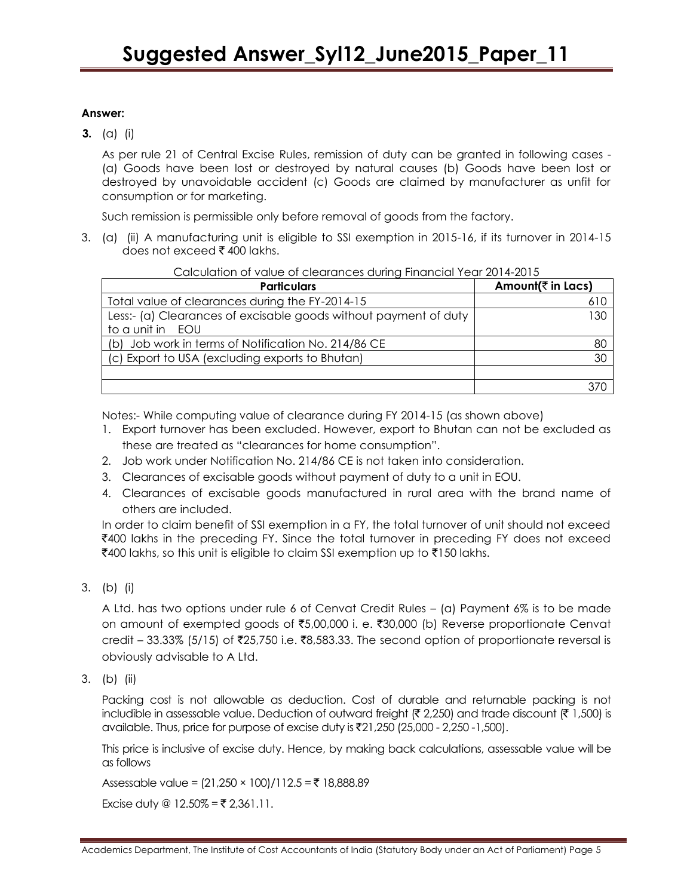## **Answer:**

**3.** (a) (i)

As per rule 21 of Central Excise Rules, remission of duty can be granted in following cases - (a) Goods have been lost or destroyed by natural causes (b) Goods have been lost or destroyed by unavoidable accident (c) Goods are claimed by manufacturer as unfit for consumption or for marketing.

Such remission is permissible only before removal of goods from the factory.

3. (a) (ii) A manufacturing unit is eligible to SSI exemption in 2015-16, if its turnover in 2014-15 does not exceed  $\bar{\tau}$  400 lakhs.

|  |  | Calculation of value of clearances during Financial Year 2014-2015 |
|--|--|--------------------------------------------------------------------|
|  |  |                                                                    |

| <b>Particulars</b>                                               | Amount( $\bar{z}$ in Lacs) |  |
|------------------------------------------------------------------|----------------------------|--|
| Total value of clearances during the FY-2014-15                  | 610                        |  |
| Less:- (a) Clearances of excisable goods without payment of duty | 130                        |  |
| to a unit in EOU                                                 |                            |  |
| (b) Job work in terms of Notification No. 214/86 CE              | 80                         |  |
| (c) Export to USA (excluding exports to Bhutan)                  | 30                         |  |
|                                                                  |                            |  |
|                                                                  |                            |  |

Notes:- While computing value of clearance during FY 2014-15 (as shown above)

- 1. Export turnover has been excluded. However, export to Bhutan can not be excluded as these are treated as "clearances for home consumption".
- 2. Job work under Notification No. 214/86 CE is not taken into consideration.
- 3. Clearances of excisable goods without payment of duty to a unit in EOU.
- 4. Clearances of excisable goods manufactured in rural area with the brand name of others are included.

In order to claim benefit of SSI exemption in a FY, the total turnover of unit should not exceed  $\bar{\mathcal{A}}$ 400 lakhs in the preceding FY. Since the total turnover in preceding FY does not exceed  $\bar{x}$ 400 lakhs, so this unit is eligible to claim SSI exemption up to  $\bar{x}$ 150 lakhs.

3. (b) (i)

A Ltd. has two options under rule 6 of Cenvat Credit Rules – (a) Payment 6% is to be made on amount of exempted goods of  $\text{\textsterling}5,00,000$  i. e.  $\text{\textsterling}30,000$  (b) Reverse proportionate Cenvat credit – 33.33% (5/15) of ₹25,750 i.e. ₹8,583.33. The second option of proportionate reversal is obviously advisable to A Ltd.

3. (b) (ii)

Packing cost is not allowable as deduction. Cost of durable and returnable packing is not includible in assessable value. Deduction of outward freight ( $\bar{\tau}$  2,250) and trade discount ( $\bar{\tau}$  1,500) is available. Thus, price for purpose of excise duty is ₹21,250 (25,000 - 2,250 -1,500).

This price is inclusive of excise duty. Hence, by making back calculations, assessable value will be as follows

Assessable value =  $(21,250 \times 100)/112.5 = ₹ 18,888.89$ 

Excise duty  $@ 12.50\% = ₹ 2,361.11$ .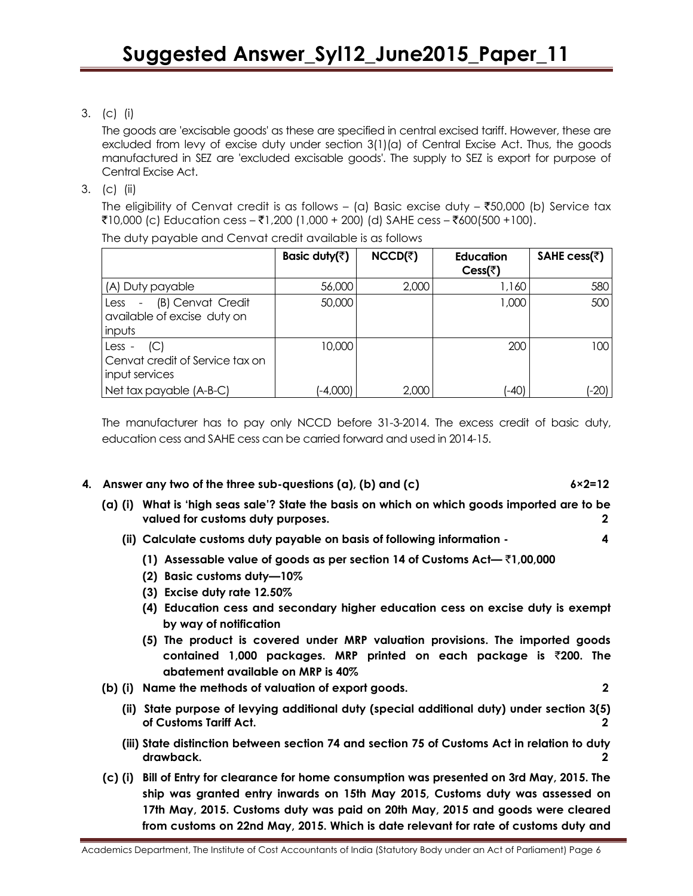3. (c) (i)

The goods are 'excisable goods' as these are specified in central excised tariff. However, these are excluded from levy of excise duty under section 3(1)(a) of Central Excise Act. Thus, the goods manufactured in SEZ are 'excluded excisable goods'. The supply to SEZ is export for purpose of Central Excise Act.

3. (c) (ii)

The eligibility of Cenvat credit is as follows – (a) Basic excise duty –  $\overline{50,000}$  (b) Service tax ₹10,000 (c) Education cess – ₹1,200 (1,000 + 200) (d) SAHE cess – ₹600(500 +100).

|                                                                                      | Basic duty( $\bar{z}$ ) | $NCCD(\bar{z})$ | <b>Education</b><br>Cess( $\overline{\tau}$ ) | SAHE cess(₹) |
|--------------------------------------------------------------------------------------|-------------------------|-----------------|-----------------------------------------------|--------------|
| (A) Duty payable                                                                     | 56,000                  | 2,000           | 1,160                                         | 580          |
| (B) Cenvat Credit<br>Less<br>$\blacksquare$<br>available of excise duty on<br>inputs | 50,000                  |                 | 1,000                                         | 500          |
| (C)<br>Less -<br>Cenvat credit of Service tax on<br>input services                   | 10,000                  |                 | 200                                           | 100          |
| Net tax payable (A-B-C)                                                              | $(-4,000)$              | 2,000           | (-40)                                         | $(-20)$      |

The duty payable and Cenvat credit available is as follows

The manufacturer has to pay only NCCD before 31-3-2014. The excess credit of basic duty, education cess and SAHE cess can be carried forward and used in 2014-15.

## **4. Answer any two of the three sub-questions (a), (b) and (c) 6×2=12**

- **(a) (i) What is 'high seas sale'? State the basis on which on which goods imported are to be valued for customs duty purposes. 2** 
	- **(ii) Calculate customs duty payable on basis of following information 4**
		- **(1) Assessable value of goods as per section 14 of Customs Act—** `**1,00,000**
		- **(2) Basic customs duty—10%**
		- **(3) Excise duty rate 12.50%**
		- **(4) Education cess and secondary higher education cess on excise duty is exempt by way of notification**
		- **(5) The product is covered under MRP valuation provisions. The imported goods contained 1,000 packages. MRP printed on each package is** `**200. The abatement available on MRP is 40%**
- **(b) (i) Name the methods of valuation of export goods. 2**
	- **(ii) State purpose of levying additional duty (special additional duty) under section 3(5) of Customs Tariff Act. 2**
	- **(iii) State distinction between section 74 and section 75 of Customs Act in relation to duty drawback. 2**
- **(c) (i) Bill of Entry for clearance for home consumption was presented on 3rd May, 2015. The ship was granted entry inwards on 15th May 2015, Customs duty was assessed on 17th May, 2015. Customs duty was paid on 20th May, 2015 and goods were cleared from customs on 22nd May, 2015. Which is date relevant for rate of customs duty and**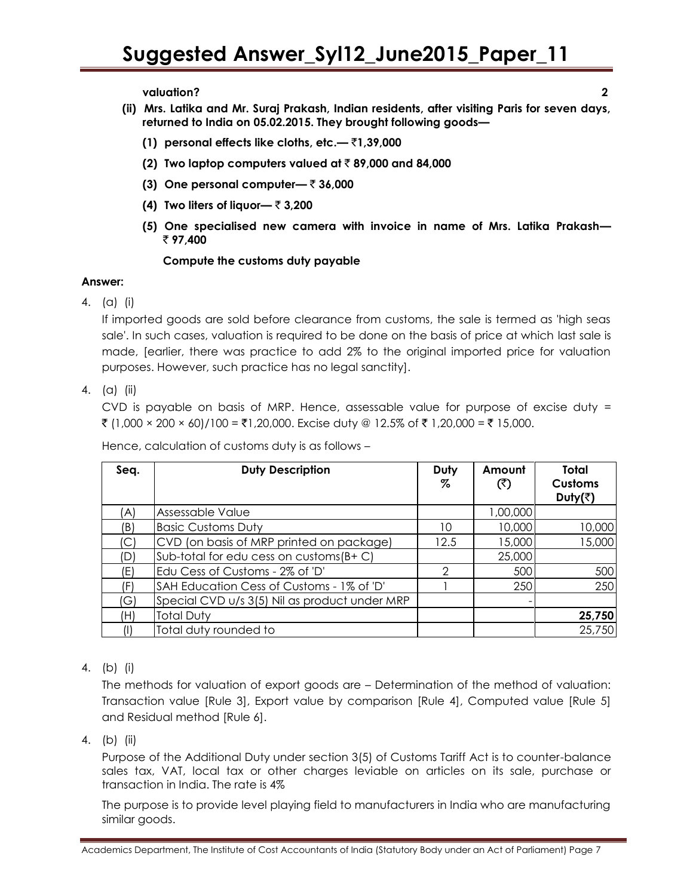**valuation? 2**

- **(ii) Mrs. Latika and Mr. Suraj Prakash, Indian residents, after visiting Paris for seven days, returned to India on 05.02.2015. They brought following goods—**
	- **(1) personal effects like cloths, etc.—** `**1,39,000**
	- **(2) Two laptop computers valued at**  $\bar{\tau}$  **89,000 and 84,000**
	- **(3) One personal computer—** ` **36,000**
	- **(4) Two liters of liquor—** ` **3,200**
	- **(5) One specialised new camera with invoice in name of Mrs. Latika Prakash—**  ` **97,400**

## **Compute the customs duty payable**

## **Answer:**

4. (a) (i)

If imported goods are sold before clearance from customs, the sale is termed as 'high seas sale'. In such cases, valuation is required to be done on the basis of price at which last sale is made, [earlier, there was practice to add 2% to the original imported price for valuation purposes. However, such practice has no legal sanctity].

4. (a) (ii)

CVD is payable on basis of MRP. Hence, assessable value for purpose of excise duty = ₹ (1,000 × 200 × 60)/100 = ₹1,20,000. Excise duty @ 12.5% of ₹ 1,20,000 = ₹ 15,000.

**Seq. Duty Description Duty % Amount**  $(5)$ **Total Customs Duty(**`**)** (A) Assessable Value 1,00,000 and 1,00,000 and 1,00,000 and 1,00,000 and 1,00,000 and 1,00,000 and 1,00,000 and 1,00,000 and 1,00,000 and 1,00,000 and 1,00,000 and 1,00,000 and 1,00,000 and 1,00,000 and 1,00,000 and 1,00,0 (B) Basic Customs Duty 10 10,000 10,000 (C)  $\begin{array}{|c|c|c|c|c|c|c|c|c|} \hline \end{array}$  CVD (on basis of MRP printed on package)  $\begin{array}{|c|c|c|c|c|c|c|c|} \hline 15,000 & 15,000 \hline \end{array}$ (D)  $\text{Sub-total}$  for edu cess on customs( $\text{B+ C}$ )  $\vert$  25,000 (E)  $\begin{array}{|c|c|c|c|c|c|c|c|} \hline \text{Edu Cess of Customs - 2\% of 'D'} & & & 2 & 500 & 500 \hline \end{array}$ (F)  $\vert$  SAH Education Cess of Customs - 1% of 'D'  $\vert$  1  $\vert$  250 250  $(G)$  Special CVD u/s 3(5) Nil as product under MRP (H) Total Duty **25,750** (I) Total duty rounded to 25,750

Hence, calculation of customs duty is as follows –

4. (b) (i)

The methods for valuation of export goods are – Determination of the method of valuation: Transaction value [Rule 3], Export value by comparison [Rule 4], Computed value [Rule 5] and Residual method [Rule 6].

4. (b) (ii)

Purpose of the Additional Duty under section 3(5) of Customs Tariff Act is to counter-balance sales tax, VAT, local tax or other charges leviable on articles on its sale, purchase or transaction in India. The rate is 4%

The purpose is to provide level playing field to manufacturers in India who are manufacturing similar goods.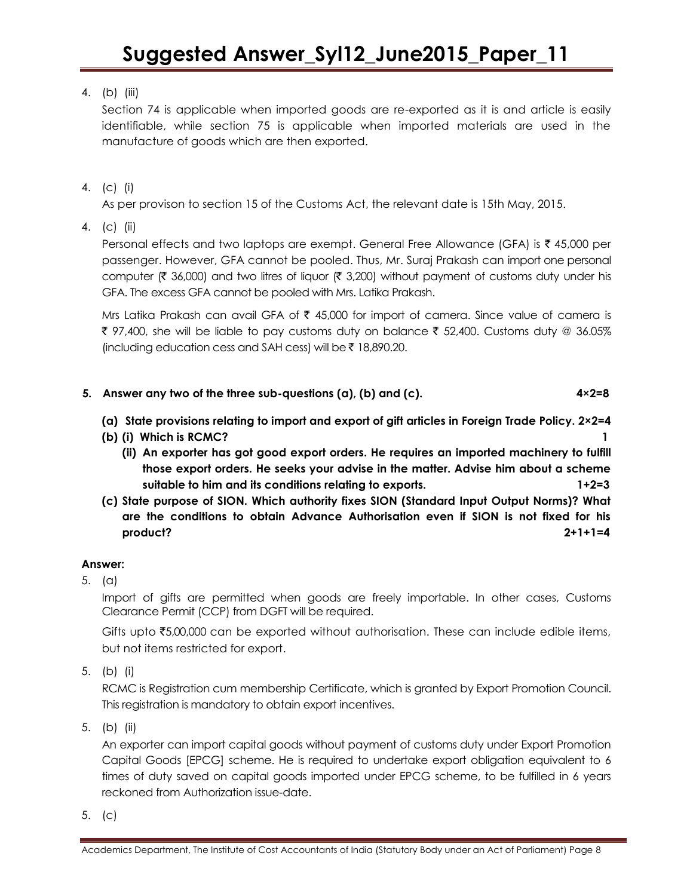## 4. (b) (iii)

Section 74 is applicable when imported goods are re-exported as it is and article is easily identifiable, while section 75 is applicable when imported materials are used in the manufacture of goods which are then exported.

4. (c) (i)

As per provison to section 15 of the Customs Act, the relevant date is 15th May, 2015.

4. (c) (ii)

Personal effects and two laptops are exempt. General Free Allowance (GFA) is  $\bar{\tau}$  45,000 per passenger. However, GFA cannot be pooled. Thus, Mr. Suraj Prakash can import one personal computer ( $\bar{\tau}$  36,000) and two litres of liquor ( $\bar{\tau}$  3,200) without payment of customs duty under his GFA. The excess GFA cannot be pooled with Mrs. Latika Prakash.

Mrs Latika Prakash can avail GFA of  $\bar{\tau}$  45,000 for import of camera. Since value of camera is ₹ 97,400, she will be liable to pay customs duty on balance ₹ 52,400. Customs duty @ 36.05% (including education cess and SAH cess) will be  $\bar{\tau}$  18,890.20.

- **5. Answer any two of the three sub-questions (a), (b) and (c). 4×2=8**
	- **(a) State provisions relating to import and export of gift articles in Foreign Trade Policy. 2×2=4**
	- **(b) (i) Which is RCMC? 1**
		- **(ii) An exporter has got good export orders. He requires an imported machinery to fulfill those export orders. He seeks your advise in the matter. Advise him about a scheme suitable to him and its conditions relating to exports. 1+2=3**
	- **(c) State purpose of SION. Which authority fixes SION (Standard Input Output Norms)? What are the conditions to obtain Advance Authorisation even if SION is not fixed for his product? 2+1+1=4**

## **Answer:**

5. (a)

Import of gifts are permitted when goods are freely importable. In other cases, Customs Clearance Permit (CCP) from DGFT will be required.

Gifts upto  $\bar{s}$ 5,00,000 can be exported without authorisation. These can include edible items, but not items restricted for export.

5. (b) (i)

RCMC is Registration cum membership Certificate, which is granted by Export Promotion Council. This registration is mandatory to obtain export incentives.

5. (b) (ii)

An exporter can import capital goods without payment of customs duty under Export Promotion Capital Goods [EPCG] scheme. He is required to undertake export obligation equivalent to 6 times of duty saved on capital goods imported under EPCG scheme, to be fulfilled in 6 years reckoned from Authorization issue-date.

5. (c)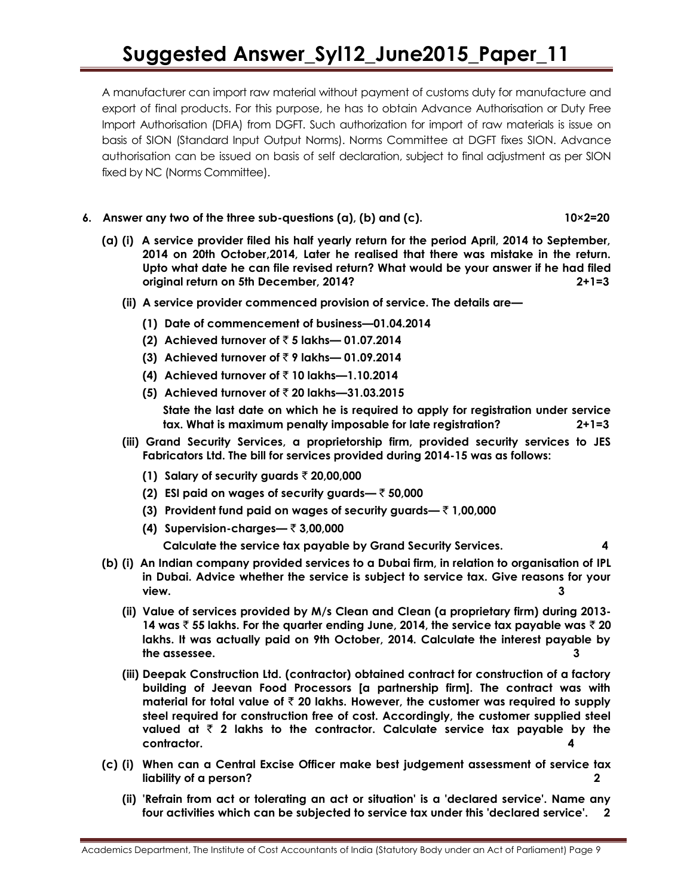# **Suggested Answer\_Syl12\_June2015\_Paper\_11**

A manufacturer can import raw material without payment of customs duty for manufacture and export of final products. For this purpose, he has to obtain Advance Authorisation or Duty Free Import Authorisation (DFIA) from DGFT. Such authorization for import of raw materials is issue on basis of SION (Standard Input Output Norms). Norms Committee at DGFT fixes SION. Advance authorisation can be issued on basis of self declaration, subject to final adjustment as per SION fixed by NC (Norms Committee).

## **6. Answer any two of the three sub-questions (a), (b) and (c). 10×2=20**

- **(a) (i) A service provider filed his half yearly return for the period April, 2014 to September, 2014 on 20th October,2014, Later he realised that there was mistake in the return. Upto what date he can file revised return? What would be your answer if he had filed original return on 5th December, 2014? 2+1=3**
	- **(ii) A service provider commenced provision of service. The details are—**
		- **(1) Date of commencement of business—01.04.2014**
		- **(2) Achieved turnover of** ` **5 lakhs— 01.07.2014**
		- **(3) Achieved turnover of** ` **9 lakhs— 01.09.2014**
		- **(4) Achieved turnover of** ` **10 lakhs—1.10.2014**
		- **(5) Achieved turnover of** ` **20 lakhs—31.03.2015 State the last date on which he is required to apply for registration under service tax. What is maximum penalty imposable for late registration? 2+1=3**
	- **(iii) Grand Security Services, a proprietorship firm, provided security services to JES Fabricators Ltd. The bill for services provided during 2014-15 was as follows:**
		- **(1) Salary of security guards** ` **20,00,000**
		- **(2) ESI paid on wages of security guards—** ` **50,000**
		- **(3) Provident fund paid on wages of security guards—** ` **1,00,000**
		- **(4) Supervision-charges—** ` **3,00,000**

**Calculate the service tax payable by Grand Security Services. 4**

- **(b) (i) An Indian company provided services to a Dubai firm, in relation to organisation of IPL in Dubai. Advice whether the service is subject to service tax. Give reasons for your view. 3**
	- **(ii) Value of services provided by M/s Clean and Clean (a proprietary firm) during 2013- 14 was** ` **55 lakhs. For the quarter ending June, 2014, the service tax payable was** ` **20 lakhs. It was actually paid on 9th October, 2014. Calculate the interest payable by the assessee. 3**
	- **(iii) Deepak Construction Ltd. (contractor) obtained contract for construction of a factory building of Jeevan Food Processors [a partnership firm]. The contract was with material for total value of** ` **20 lakhs. However, the customer was required to supply steel required for construction free of cost. Accordingly, the customer supplied steel**  valued at  $\bar{\tau}$  2 lakhs to the contractor. Calculate service tax payable by the **contractor. 4**
- **(c) (i) When can a Central Excise Officer make best judgement assessment of service tax liability of a person? 2**
	- **(ii) 'Refrain from act or tolerating an act or situation' is a 'declared service'. Name any four activities which can be subjected to service tax under this 'declared service'. 2**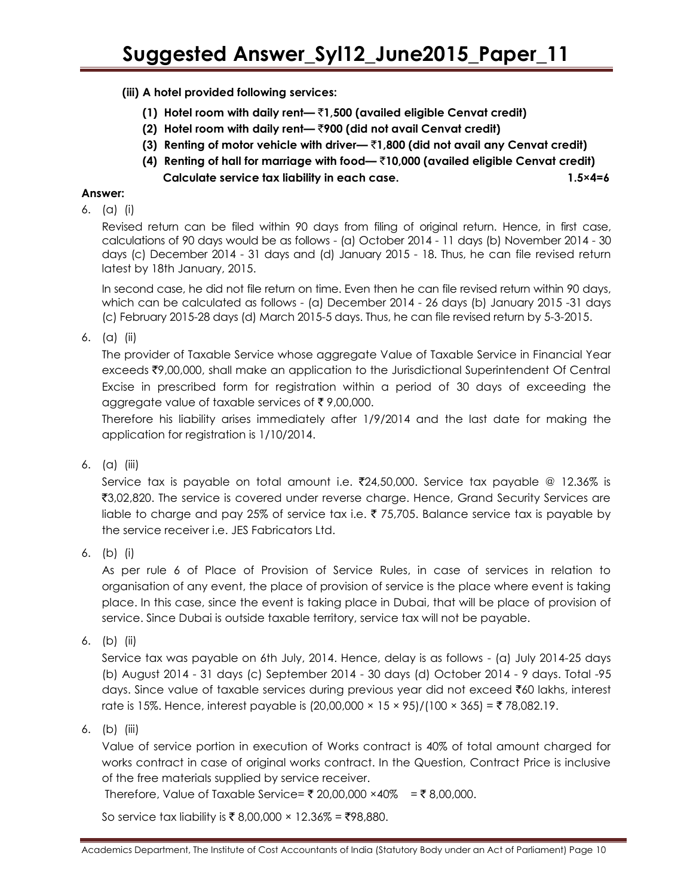**(iii) A hotel provided following services:**

- **(1) Hotel room with daily rent—** `**1,500 (availed eligible Cenvat credit)**
- **(2) Hotel room with daily rent—** `**900 (did not avail Cenvat credit)**
- **(3) Renting of motor vehicle with driver—** `**1,800 (did not avail any Cenvat credit)**
- **(4) Renting of hall for marriage with food—** `**10,000 (availed eligible Cenvat credit) Calculate service tax liability in each case. 1.5×4=6**

## **Answer:**

6. (a) (i)

Revised return can be filed within 90 days from filing of original return. Hence, in first case, calculations of 90 days would be as follows - (a) October 2014 - 11 days (b) November 2014 - 30 days (c) December 2014 - 31 days and (d) January 2015 - 18. Thus, he can file revised return latest by 18th January, 2015.

In second case, he did not file return on time. Even then he can file revised return within 90 days, which can be calculated as follows - (a) December 2014 - 26 days (b) January 2015 -31 days (c) February 2015-28 days (d) March 2015-5 days. Thus, he can file revised return by 5-3-2015.

6. (a) (ii)

The provider of Taxable Service whose aggregate Value of Taxable Service in Financial Year exceeds ₹9,00,000, shall make an application to the Jurisdictional Superintendent Of Central Excise in prescribed form for registration within a period of 30 days of exceeding the aggregate value of taxable services of  $\bar{\tau}$  9,00,000.

Therefore his liability arises immediately after 1/9/2014 and the last date for making the application for registration is 1/10/2014.

6. (a) (iii)

Service tax is payable on total amount i.e.  $\overline{2}24,50,000$ . Service tax payable @ 12.36% is ₹3,02,820. The service is covered under reverse charge. Hence, Grand Security Services are liable to charge and pay 25% of service tax i.e.  $\bar{\tau}$  75,705. Balance service tax is payable by the service receiver i.e. JES Fabricators Ltd.

6. (b) (i)

As per rule 6 of Place of Provision of Service Rules, in case of services in relation to organisation of any event, the place of provision of service is the place where event is taking place. In this case, since the event is taking place in Dubai, that will be place of provision of service. Since Dubai is outside taxable territory, service tax will not be payable.

6. (b) (ii)

Service tax was payable on 6th July, 2014. Hence, delay is as follows - (a) July 2014-25 days (b) August 2014 - 31 days (c) September 2014 - 30 days (d) October 2014 - 9 days. Total -95 days. Since value of taxable services during previous year did not exceed ₹60 lakhs, interest rate is 15%. Hence, interest payable is  $(20,00,000 \times 15 \times 95)/(100 \times 365) =$  ₹ 78,082.19.

6. (b) (iii)

Value of service portion in execution of Works contract is 40% of total amount charged for works contract in case of original works contract. In the Question, Contract Price is inclusive of the free materials supplied by service receiver.

Therefore, Value of Taxable Service= ₹ 20,00,000 ×40% = ₹ 8,00,000.

So service tax liability is ₹ 8,00,000  $\times$  12.36% = ₹98,880.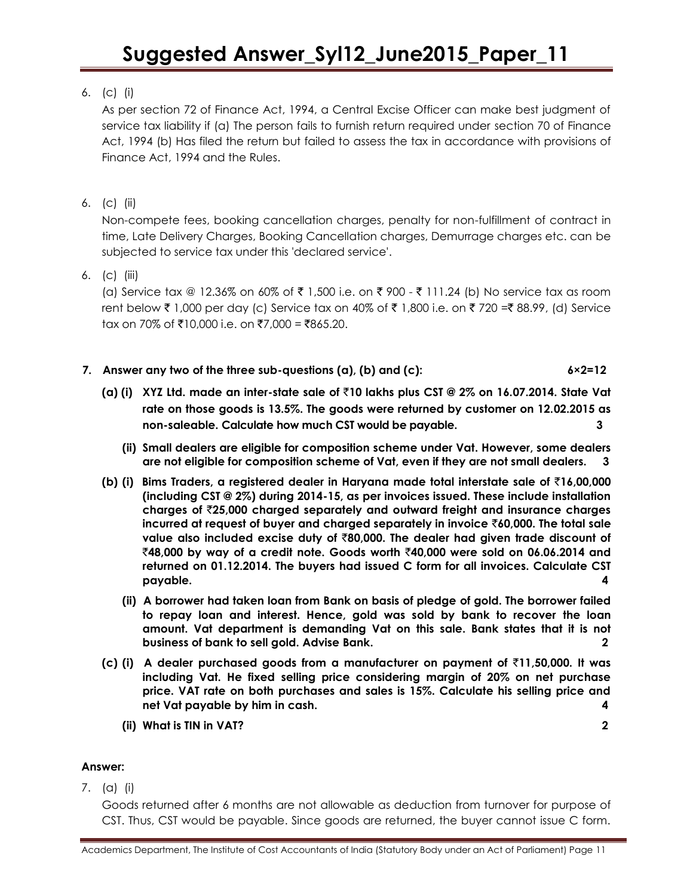## 6. (c) (i)

As per section 72 of Finance Act, 1994, a Central Excise Officer can make best judgment of service tax liability if (a) The person fails to furnish return required under section 70 of Finance Act, 1994 (b) Has filed the return but failed to assess the tax in accordance with provisions of Finance Act, 1994 and the Rules.

6. (c) (ii)

Non-compete fees, booking cancellation charges, penalty for non-fulfillment of contract in time, Late Delivery Charges, Booking Cancellation charges, Demurrage charges etc. can be subjected to service tax under this 'declared service'.

6. (c) (iii)

(a) Service tax @ 12.36% on 60% of  $\bar{\tau}$  1,500 i.e. on  $\bar{\tau}$  900 -  $\bar{\tau}$  111.24 (b) No service tax as room rent below  $\bar{\tau}$  1,000 per day (c) Service tax on 40% of  $\bar{\tau}$  1,800 i.e. on  $\bar{\tau}$  720 =  $\bar{\tau}$  88.99, (d) Service tax on 70% of ₹10,000 i.e. on ₹7,000 = ₹865.20.

- **7. Answer any two of the three sub-questions (a), (b) and (c): 6×2=12**
	- **(a) (i) XYZ Ltd. made an inter-state sale of** `**10 lakhs plus CST @ 2% on 16.07.2014. State Vat rate on those goods is 13.5%. The goods were returned by customer on 12.02.2015 as non-saleable. Calculate how much CST would be payable. 3**
		- **(ii) Small dealers are eligible for composition scheme under Vat. However, some dealers are not eligible for composition scheme of Vat, even if they are not small dealers. 3**
	- **(b) (i) Bims Traders, a registered dealer in Haryana made total interstate sale of** `**16,00,000 (including CST @ 2%) during 2014-15, as per invoices issued. These include installation charges of** `**25,000 charged separately and outward freight and insurance charges incurred at request of buyer and charged separately in invoice** `**60,000. The total sale value also included excise duty of** `**80,000. The dealer had given trade discount of**  `**48,000 by way of a credit note. Goods worth** `**40,000 were sold on 06.06.2014 and returned on 01.12.2014. The buyers had issued C form for all invoices. Calculate CST payable. 4**
		- **(ii) A borrower had taken loan from Bank on basis of pledge of gold. The borrower failed to repay loan and interest. Hence, gold was sold by bank to recover the loan amount. Vat department is demanding Vat on this sale. Bank states that it is not business of bank to sell gold. Advise Bank. 2**
	- **(c) (i) A dealer purchased goods from a manufacturer on payment of** `**11,50,000. It was including Vat. He fixed selling price considering margin of 20% on net purchase price. VAT rate on both purchases and sales is 15%. Calculate his selling price and net Vat payable by him in cash. 4**
		- **(ii) What is TIN in VAT? 2**

## **Answer:**

7. (a) (i)

Goods returned after 6 months are not allowable as deduction from turnover for purpose of CST. Thus, CST would be payable. Since goods are returned, the buyer cannot issue C form.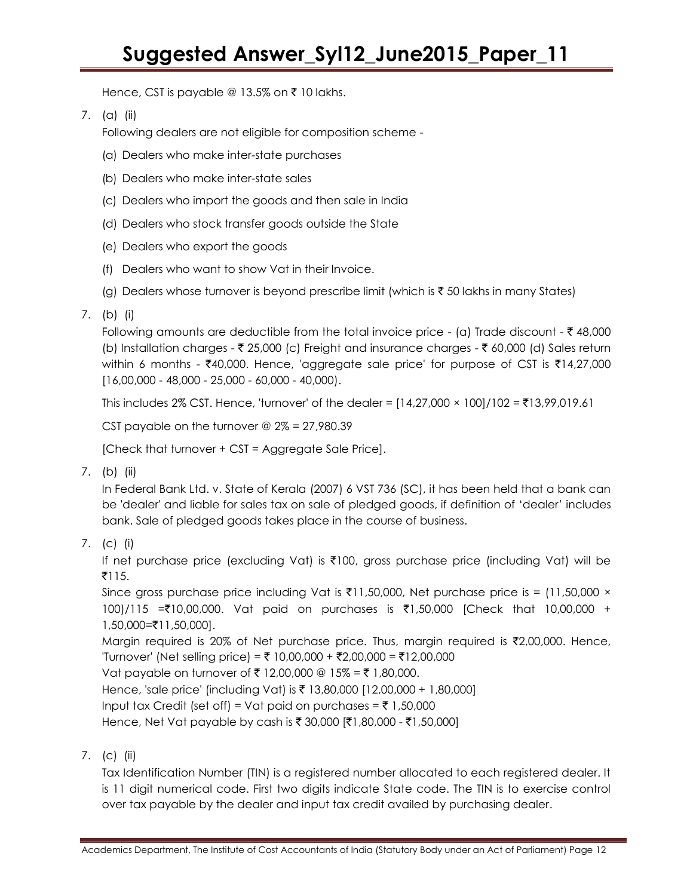Hence, CST is payable @ 13.5% on  $\bar{\tau}$  10 lakhs.

7. (a) (ii)

Following dealers are not eligible for composition scheme -

- (a) Dealers who make inter-state purchases
- (b) Dealers who make inter-state sales
- (c) Dealers who import the goods and then sale in India
- (d) Dealers who stock transfer goods outside the State
- (e) Dealers who export the goods
- (f) Dealers who want to show Vat in their Invoice.
- (g) Dealers whose turnover is beyond prescribe limit (which is  $\bar{\tau}$  50 lakhs in many States)
- 7. (b) (i)

Following amounts are deductible from the total invoice price - (a) Trade discount -  $\bar{\tau}$  48,000 (b) Installation charges -  $\bar{\tau}$  25,000 (c) Freight and insurance charges -  $\bar{\tau}$  60,000 (d) Sales return within 6 months -  $\overline{40,000}$ . Hence, 'aggregate sale price' for purpose of CST is  $\overline{414,27,000}$ [16,00,000 - 48,000 - 25,000 - 60,000 - 40,000).

This includes 2% CST. Hence, 'turnover' of the dealer =  $[14,27,000 \times 100]/102 =$  ₹13,99,019.61

CST payable on the turnover  $\omega$  2% = 27,980.39

[Check that turnover + CST = Aggregate Sale Price].

7. (b) (ii)

In Federal Bank Ltd. v. State of Kerala (2007) 6 VST 736 (SC), it has been held that a bank can be 'dealer' and liable for sales tax on sale of pledged goods, if definition of "dealer" includes bank. Sale of pledged goods takes place in the course of business.

7. (c) (i)

If net purchase price (excluding Vat) is ₹100, gross purchase price (including Vat) will be  $\bar{5}$ 115.

Since gross purchase price including Vat is  $\bar{\tau}$ 11,50,000, Net purchase price is = (11,50,000 × 100)/115 =₹10,00,000. Vat paid on purchases is ₹1,50,000 [Check that 10,00,000 + 1,50,000=`11,50,000].

Margin required is 20% of Net purchase price. Thus, margin required is  $\bar{\tau}$ 2,00,000. Hence, 'Turnover' (Net selling price) = ₹ 10,00,000 + ₹2,00,000 = ₹12,00,000

Vat payable on turnover of ₹ 12,00,000 @ 15% = ₹ 1,80,000.

Hence, 'sale price' (including Vat) is ₹ 13,80,000 [12,00,000 + 1,80,000]

Input tax Credit (set off) = Vat paid on purchases =  $\bar{\tau}$  1,50,000

Hence, Net Vat payable by cash is ₹ 30,000 [₹1,80,000 - ₹1,50,000]

7. (c) (ii)

Tax Identification Number (TIN) is a registered number allocated to each registered dealer. It is 11 digit numerical code. First two digits indicate State code. The TIN is to exercise control over tax payable by the dealer and input tax credit availed by purchasing dealer.